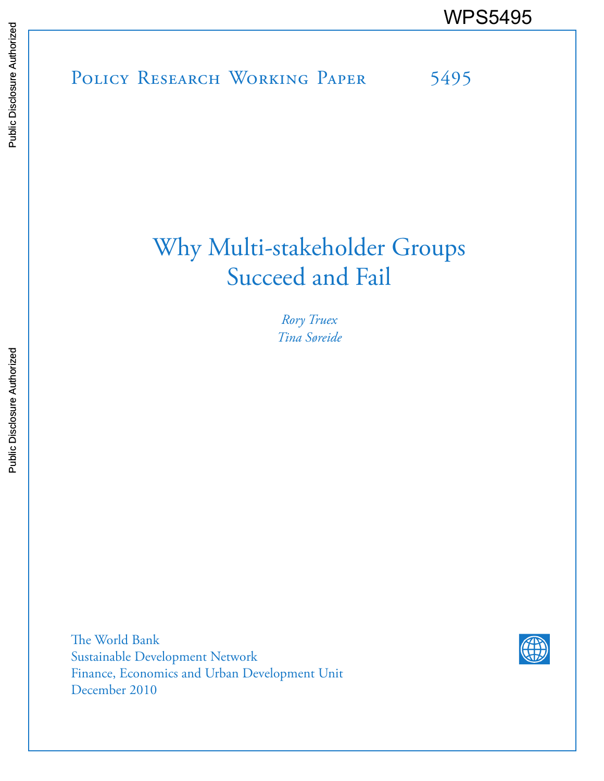# POLICY RESEARCH WORKING PAPER 5495 WPS5495<br>
Media<br>
Media<br>
Band<br>
Band<br>
Band<br>
Band<br>
Band<br>
Band<br>
Band<br>
Band<br>
Band<br>
Band<br>
Band<br>
Band<br>
Band<br>
Band<br>
Band<br>
Band<br>
Band<br>
Band<br>
Band<br>
Band<br>
Band<br>
Band<br>
Band<br>
Band<br>
Band<br>
Band<br>
Band<br>
Band<br>
Band<br>
Band<br>
Band<br>
Band<br>
Band<br>
B

## Why Multi-stakeholder Groups Succeed and Fail

*Rory Truex Tina Søreide*

The World Bank Sustainable Development Network Finance, Economics and Urban Development Unit December 2010

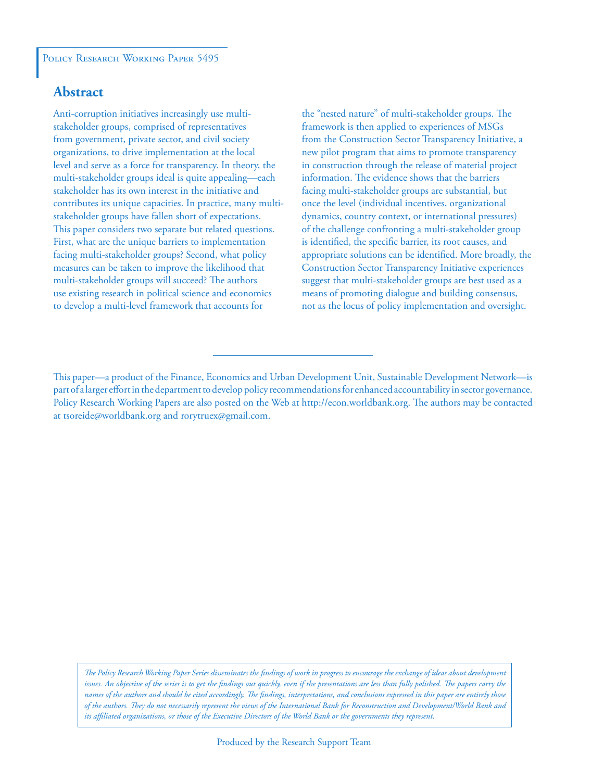## **Abstract**

Anti-corruption initiatives increasingly use multistakeholder groups, comprised of representatives from government, private sector, and civil society organizations, to drive implementation at the local level and serve as a force for transparency. In theory, the multi-stakeholder groups ideal is quite appealing—each stakeholder has its own interest in the initiative and contributes its unique capacities. In practice, many multistakeholder groups have fallen short of expectations. This paper considers two separate but related questions. First, what are the unique barriers to implementation facing multi-stakeholder groups? Second, what policy measures can be taken to improve the likelihood that multi-stakeholder groups will succeed? The authors use existing research in political science and economics to develop a multi-level framework that accounts for

the "nested nature" of multi-stakeholder groups. The framework is then applied to experiences of MSGs from the Construction Sector Transparency Initiative, a new pilot program that aims to promote transparency in construction through the release of material project information. The evidence shows that the barriers facing multi-stakeholder groups are substantial, but once the level (individual incentives, organizational dynamics, country context, or international pressures) of the challenge confronting a multi-stakeholder group is identified, the specific barrier, its root causes, and appropriate solutions can be identified. More broadly, the Construction Sector Transparency Initiative experiences suggest that multi-stakeholder groups are best used as a means of promoting dialogue and building consensus, not as the locus of policy implementation and oversight.

*The Policy Research Working Paper Series disseminates the findings of work in progress to encourage the exchange of ideas about development*  issues. An objective of the series is to get the findings out quickly, even if the presentations are less than fully polished. The papers carry the *names of the authors and should be cited accordingly. The findings, interpretations, and conclusions expressed in this paper are entirely those of the authors. They do not necessarily represent the views of the International Bank for Reconstruction and Development/World Bank and its affiliated organizations, or those of the Executive Directors of the World Bank or the governments they represent.*

This paper—a product of the Finance, Economics and Urban Development Unit, Sustainable Development Network—is part of a larger effort in the department to develop policy recommendations for enhanced accountability in sector governance. Policy Research Working Papers are also posted on the Web at http://econ.worldbank.org. The authors may be contacted at tsoreide@worldbank.org and rorytruex@gmail.com.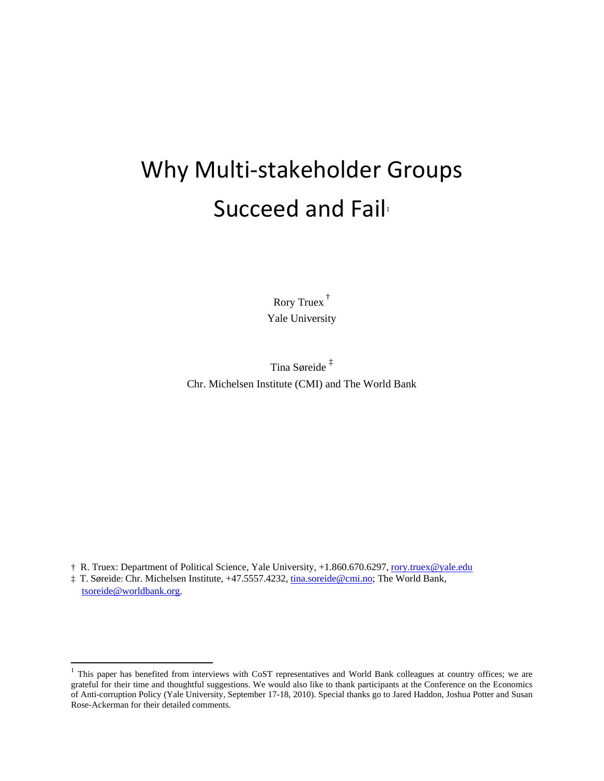# Why Multi‐stakeholder Groups Succeed and Fail

Rory Truex † Yale University

Tina Søreide ‡ Chr. Michelsen Institute (CMI) and The World Bank

† R. Truex: Department of Political Science, Yale University, +1.860.670.6297, rory.truex@yale.edu

‡ T. Søreide: Chr. Michelsen Institute, +47.5557.4232, tina.soreide@cmi.no; The World Bank, tsoreide@worldbank.org.

 $1$  This paper has benefited from interviews with CoST representatives and World Bank colleagues at country offices; we are grateful for their time and thoughtful suggestions. We would also like to thank participants at the Conference on the Economics of Anti-corruption Policy (Yale University, September 17-18, 2010). Special thanks go to Jared Haddon, Joshua Potter and Susan Rose-Ackerman for their detailed comments.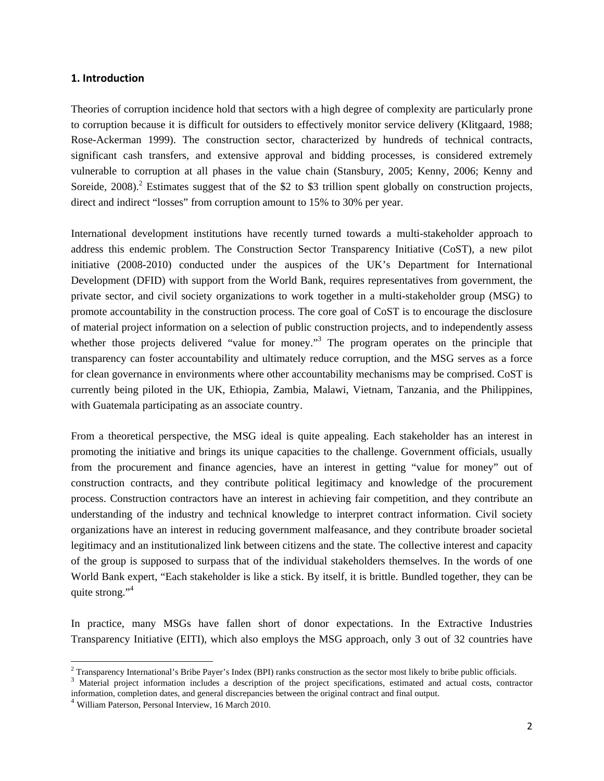#### **1. Introduction**

Theories of corruption incidence hold that sectors with a high degree of complexity are particularly prone to corruption because it is difficult for outsiders to effectively monitor service delivery (Klitgaard, 1988; Rose-Ackerman 1999). The construction sector, characterized by hundreds of technical contracts, significant cash transfers, and extensive approval and bidding processes, is considered extremely vulnerable to corruption at all phases in the value chain (Stansbury, 2005; Kenny, 2006; Kenny and Soreide,  $2008$ ).<sup>2</sup> Estimates suggest that of the \$2 to \$3 trillion spent globally on construction projects, direct and indirect "losses" from corruption amount to 15% to 30% per year.

International development institutions have recently turned towards a multi-stakeholder approach to address this endemic problem. The Construction Sector Transparency Initiative (CoST), a new pilot initiative (2008-2010) conducted under the auspices of the UK's Department for International Development (DFID) with support from the World Bank, requires representatives from government, the private sector, and civil society organizations to work together in a multi-stakeholder group (MSG) to promote accountability in the construction process. The core goal of CoST is to encourage the disclosure of material project information on a selection of public construction projects, and to independently assess whether those projects delivered "value for money."<sup>3</sup> The program operates on the principle that transparency can foster accountability and ultimately reduce corruption, and the MSG serves as a force for clean governance in environments where other accountability mechanisms may be comprised. CoST is currently being piloted in the UK, Ethiopia, Zambia, Malawi, Vietnam, Tanzania, and the Philippines, with Guatemala participating as an associate country.

From a theoretical perspective, the MSG ideal is quite appealing. Each stakeholder has an interest in promoting the initiative and brings its unique capacities to the challenge. Government officials, usually from the procurement and finance agencies, have an interest in getting "value for money" out of construction contracts, and they contribute political legitimacy and knowledge of the procurement process. Construction contractors have an interest in achieving fair competition, and they contribute an understanding of the industry and technical knowledge to interpret contract information. Civil society organizations have an interest in reducing government malfeasance, and they contribute broader societal legitimacy and an institutionalized link between citizens and the state. The collective interest and capacity of the group is supposed to surpass that of the individual stakeholders themselves. In the words of one World Bank expert, "Each stakeholder is like a stick. By itself, it is brittle. Bundled together, they can be quite strong."<sup>4</sup>

In practice, many MSGs have fallen short of donor expectations. In the Extractive Industries Transparency Initiative (EITI), which also employs the MSG approach, only 3 out of 32 countries have

 $2$  Transparency International's Bribe Payer's Index (BPI) ranks construction as the sector most likely to bribe public officials.

<sup>&</sup>lt;sup>3</sup> Material project information includes a description of the project specifications, estimated and actual costs, contractor information, completion dates, and general discrepancies between the original contract and final output. <sup>4</sup> William Paterson, Personal Interview, 16 March 2010.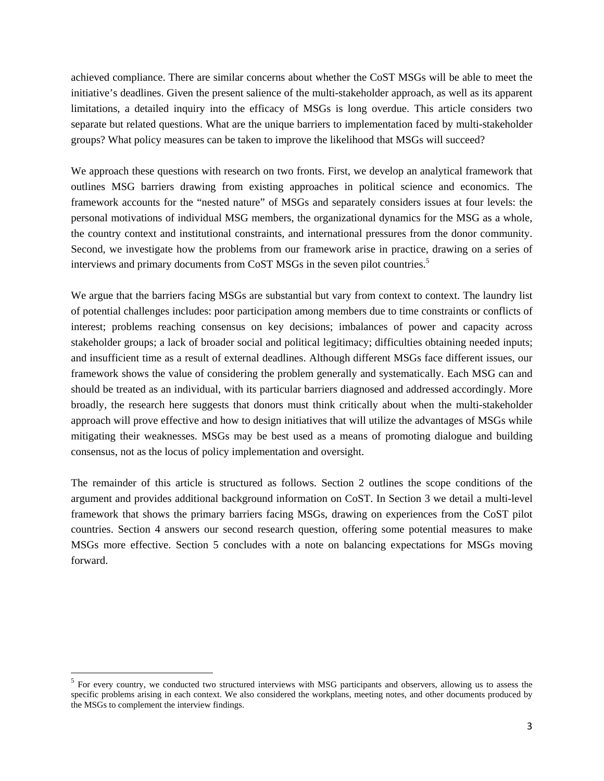achieved compliance. There are similar concerns about whether the CoST MSGs will be able to meet the initiative's deadlines. Given the present salience of the multi-stakeholder approach, as well as its apparent limitations, a detailed inquiry into the efficacy of MSGs is long overdue. This article considers two separate but related questions. What are the unique barriers to implementation faced by multi-stakeholder groups? What policy measures can be taken to improve the likelihood that MSGs will succeed?

We approach these questions with research on two fronts. First, we develop an analytical framework that outlines MSG barriers drawing from existing approaches in political science and economics. The framework accounts for the "nested nature" of MSGs and separately considers issues at four levels: the personal motivations of individual MSG members, the organizational dynamics for the MSG as a whole, the country context and institutional constraints, and international pressures from the donor community. Second, we investigate how the problems from our framework arise in practice, drawing on a series of interviews and primary documents from CoST MSGs in the seven pilot countries.<sup>5</sup>

We argue that the barriers facing MSGs are substantial but vary from context to context. The laundry list of potential challenges includes: poor participation among members due to time constraints or conflicts of interest; problems reaching consensus on key decisions; imbalances of power and capacity across stakeholder groups; a lack of broader social and political legitimacy; difficulties obtaining needed inputs; and insufficient time as a result of external deadlines. Although different MSGs face different issues, our framework shows the value of considering the problem generally and systematically. Each MSG can and should be treated as an individual, with its particular barriers diagnosed and addressed accordingly. More broadly, the research here suggests that donors must think critically about when the multi-stakeholder approach will prove effective and how to design initiatives that will utilize the advantages of MSGs while mitigating their weaknesses. MSGs may be best used as a means of promoting dialogue and building consensus, not as the locus of policy implementation and oversight.

The remainder of this article is structured as follows. Section 2 outlines the scope conditions of the argument and provides additional background information on CoST. In Section 3 we detail a multi-level framework that shows the primary barriers facing MSGs, drawing on experiences from the CoST pilot countries. Section 4 answers our second research question, offering some potential measures to make MSGs more effective. Section 5 concludes with a note on balancing expectations for MSGs moving forward.

<sup>&</sup>lt;sup>5</sup> For every country, we conducted two structured interviews with MSG participants and observers, allowing us to assess the specific problems arising in each context. We also considered the workplans, meeting notes, and other documents produced by the MSGs to complement the interview findings.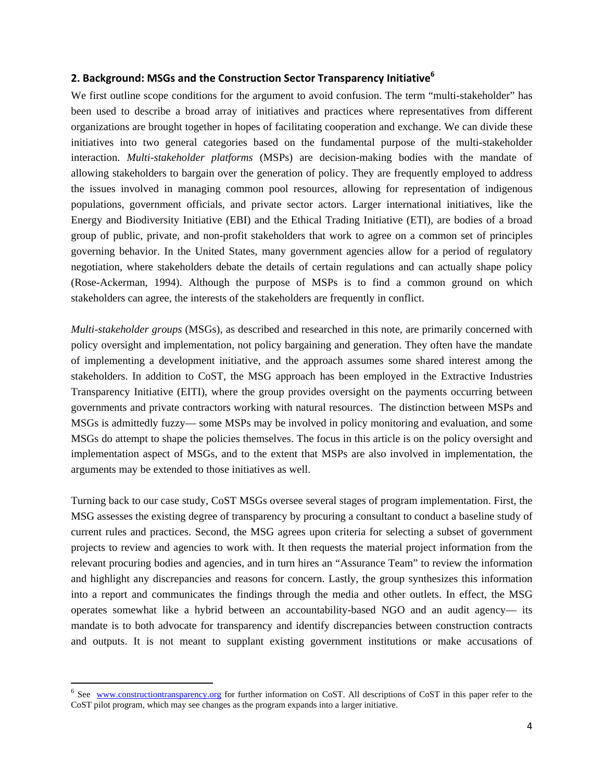#### **2. Background: MSGs and the Construction Sector Transparency Initiative6**

We first outline scope conditions for the argument to avoid confusion. The term "multi-stakeholder" has been used to describe a broad array of initiatives and practices where representatives from different organizations are brought together in hopes of facilitating cooperation and exchange. We can divide these initiatives into two general categories based on the fundamental purpose of the multi-stakeholder interaction. *Multi-stakeholder platforms* (MSPs) are decision-making bodies with the mandate of allowing stakeholders to bargain over the generation of policy. They are frequently employed to address the issues involved in managing common pool resources, allowing for representation of indigenous populations, government officials, and private sector actors. Larger international initiatives, like the Energy and Biodiversity Initiative (EBI) and the Ethical Trading Initiative (ETI), are bodies of a broad group of public, private, and non-profit stakeholders that work to agree on a common set of principles governing behavior. In the United States, many government agencies allow for a period of regulatory negotiation, where stakeholders debate the details of certain regulations and can actually shape policy (Rose-Ackerman, 1994). Although the purpose of MSPs is to find a common ground on which stakeholders can agree, the interests of the stakeholders are frequently in conflict.

*Multi-stakeholder groups* (MSGs), as described and researched in this note, are primarily concerned with policy oversight and implementation, not policy bargaining and generation. They often have the mandate of implementing a development initiative, and the approach assumes some shared interest among the stakeholders. In addition to CoST, the MSG approach has been employed in the Extractive Industries Transparency Initiative (EITI), where the group provides oversight on the payments occurring between governments and private contractors working with natural resources. The distinction between MSPs and MSGs is admittedly fuzzy— some MSPs may be involved in policy monitoring and evaluation, and some MSGs do attempt to shape the policies themselves. The focus in this article is on the policy oversight and implementation aspect of MSGs, and to the extent that MSPs are also involved in implementation, the arguments may be extended to those initiatives as well.

Turning back to our case study, CoST MSGs oversee several stages of program implementation. First, the MSG assesses the existing degree of transparency by procuring a consultant to conduct a baseline study of current rules and practices. Second, the MSG agrees upon criteria for selecting a subset of government projects to review and agencies to work with. It then requests the material project information from the relevant procuring bodies and agencies, and in turn hires an "Assurance Team" to review the information and highlight any discrepancies and reasons for concern. Lastly, the group synthesizes this information into a report and communicates the findings through the media and other outlets. In effect, the MSG operates somewhat like a hybrid between an accountability-based NGO and an audit agency— its mandate is to both advocate for transparency and identify discrepancies between construction contracts and outputs. It is not meant to supplant existing government institutions or make accusations of

<sup>&</sup>lt;sup>6</sup> See www.constructiontransparency.org for further information on CoST. All descriptions of CoST in this paper refer to the CoST pilot program, which may see changes as the program expands into a larger initiative.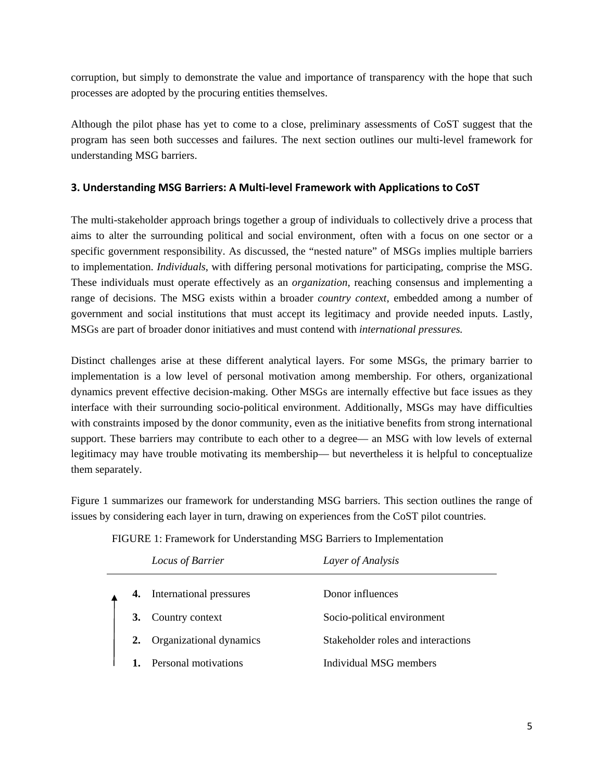corruption, but simply to demonstrate the value and importance of transparency with the hope that such processes are adopted by the procuring entities themselves.

Although the pilot phase has yet to come to a close, preliminary assessments of CoST suggest that the program has seen both successes and failures. The next section outlines our multi-level framework for understanding MSG barriers.

#### **3. Understanding MSG Barriers: A Multi‐level Framework with Applications to CoST**

The multi-stakeholder approach brings together a group of individuals to collectively drive a process that aims to alter the surrounding political and social environment, often with a focus on one sector or a specific government responsibility. As discussed, the "nested nature" of MSGs implies multiple barriers to implementation. *Individuals*, with differing personal motivations for participating, comprise the MSG. These individuals must operate effectively as an *organization*, reaching consensus and implementing a range of decisions. The MSG exists within a broader *country context*, embedded among a number of government and social institutions that must accept its legitimacy and provide needed inputs. Lastly, MSGs are part of broader donor initiatives and must contend with *international pressures.*

Distinct challenges arise at these different analytical layers. For some MSGs, the primary barrier to implementation is a low level of personal motivation among membership. For others, organizational dynamics prevent effective decision-making. Other MSGs are internally effective but face issues as they interface with their surrounding socio-political environment. Additionally, MSGs may have difficulties with constraints imposed by the donor community, even as the initiative benefits from strong international support. These barriers may contribute to each other to a degree— an MSG with low levels of external legitimacy may have trouble motivating its membership— but nevertheless it is helpful to conceptualize them separately.

Figure 1 summarizes our framework for understanding MSG barriers. This section outlines the range of issues by considering each layer in turn, drawing on experiences from the CoST pilot countries.

|  |    | Locus of Barrier        | Layer of Analysis                  |  |  |
|--|----|-------------------------|------------------------------------|--|--|
|  | 4. | International pressures | Donor influences                   |  |  |
|  | 3. | Country context         | Socio-political environment        |  |  |
|  |    | Organizational dynamics | Stakeholder roles and interactions |  |  |
|  |    | Personal motivations    | Individual MSG members             |  |  |

FIGURE 1: Framework for Understanding MSG Barriers to Implementation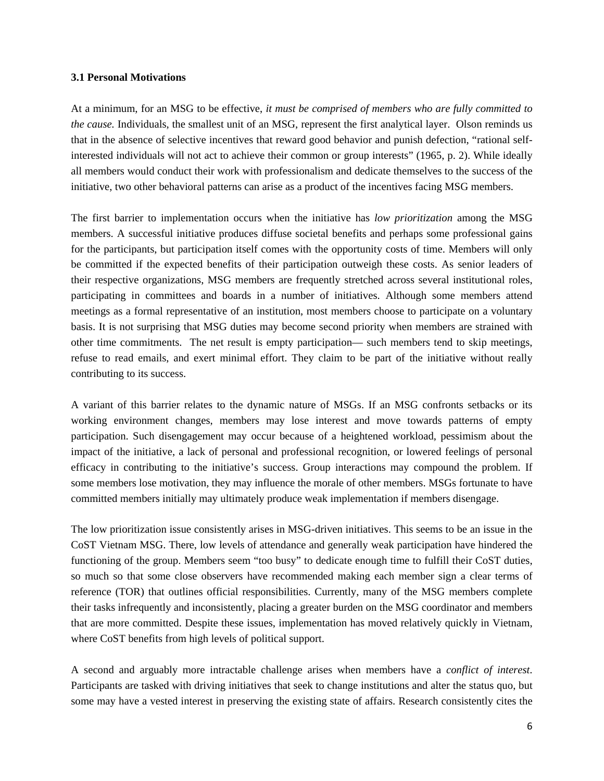#### **3.1 Personal Motivations**

At a minimum, for an MSG to be effective, *it must be comprised of members who are fully committed to the cause.* Individuals, the smallest unit of an MSG, represent the first analytical layer. Olson reminds us that in the absence of selective incentives that reward good behavior and punish defection, "rational selfinterested individuals will not act to achieve their common or group interests" (1965, p. 2). While ideally all members would conduct their work with professionalism and dedicate themselves to the success of the initiative, two other behavioral patterns can arise as a product of the incentives facing MSG members.

The first barrier to implementation occurs when the initiative has *low prioritization* among the MSG members. A successful initiative produces diffuse societal benefits and perhaps some professional gains for the participants, but participation itself comes with the opportunity costs of time. Members will only be committed if the expected benefits of their participation outweigh these costs. As senior leaders of their respective organizations, MSG members are frequently stretched across several institutional roles, participating in committees and boards in a number of initiatives. Although some members attend meetings as a formal representative of an institution, most members choose to participate on a voluntary basis. It is not surprising that MSG duties may become second priority when members are strained with other time commitments. The net result is empty participation— such members tend to skip meetings, refuse to read emails, and exert minimal effort. They claim to be part of the initiative without really contributing to its success.

A variant of this barrier relates to the dynamic nature of MSGs. If an MSG confronts setbacks or its working environment changes, members may lose interest and move towards patterns of empty participation. Such disengagement may occur because of a heightened workload, pessimism about the impact of the initiative, a lack of personal and professional recognition, or lowered feelings of personal efficacy in contributing to the initiative's success. Group interactions may compound the problem. If some members lose motivation, they may influence the morale of other members. MSGs fortunate to have committed members initially may ultimately produce weak implementation if members disengage.

The low prioritization issue consistently arises in MSG-driven initiatives. This seems to be an issue in the CoST Vietnam MSG. There, low levels of attendance and generally weak participation have hindered the functioning of the group. Members seem "too busy" to dedicate enough time to fulfill their CoST duties, so much so that some close observers have recommended making each member sign a clear terms of reference (TOR) that outlines official responsibilities. Currently, many of the MSG members complete their tasks infrequently and inconsistently, placing a greater burden on the MSG coordinator and members that are more committed. Despite these issues, implementation has moved relatively quickly in Vietnam, where CoST benefits from high levels of political support.

A second and arguably more intractable challenge arises when members have a *conflict of interest*. Participants are tasked with driving initiatives that seek to change institutions and alter the status quo, but some may have a vested interest in preserving the existing state of affairs. Research consistently cites the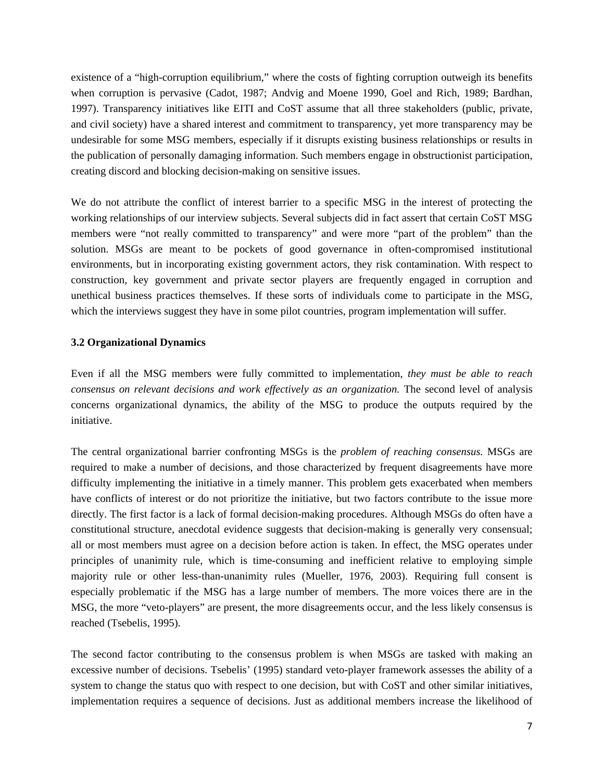existence of a "high-corruption equilibrium," where the costs of fighting corruption outweigh its benefits when corruption is pervasive (Cadot, 1987; Andvig and Moene 1990, Goel and Rich, 1989; Bardhan, 1997). Transparency initiatives like EITI and CoST assume that all three stakeholders (public, private, and civil society) have a shared interest and commitment to transparency, yet more transparency may be undesirable for some MSG members, especially if it disrupts existing business relationships or results in the publication of personally damaging information. Such members engage in obstructionist participation, creating discord and blocking decision-making on sensitive issues.

We do not attribute the conflict of interest barrier to a specific MSG in the interest of protecting the working relationships of our interview subjects. Several subjects did in fact assert that certain CoST MSG members were "not really committed to transparency" and were more "part of the problem" than the solution. MSGs are meant to be pockets of good governance in often-compromised institutional environments, but in incorporating existing government actors, they risk contamination. With respect to construction, key government and private sector players are frequently engaged in corruption and unethical business practices themselves. If these sorts of individuals come to participate in the MSG, which the interviews suggest they have in some pilot countries, program implementation will suffer.

#### **3.2 Organizational Dynamics**

Even if all the MSG members were fully committed to implementation, *they must be able to reach consensus on relevant decisions and work effectively as an organization*. The second level of analysis concerns organizational dynamics, the ability of the MSG to produce the outputs required by the initiative.

The central organizational barrier confronting MSGs is the *problem of reaching consensus.* MSGs are required to make a number of decisions, and those characterized by frequent disagreements have more difficulty implementing the initiative in a timely manner. This problem gets exacerbated when members have conflicts of interest or do not prioritize the initiative, but two factors contribute to the issue more directly. The first factor is a lack of formal decision-making procedures. Although MSGs do often have a constitutional structure, anecdotal evidence suggests that decision-making is generally very consensual; all or most members must agree on a decision before action is taken. In effect, the MSG operates under principles of unanimity rule, which is time-consuming and inefficient relative to employing simple majority rule or other less-than-unanimity rules (Mueller, 1976, 2003). Requiring full consent is especially problematic if the MSG has a large number of members. The more voices there are in the MSG, the more "veto-players" are present, the more disagreements occur, and the less likely consensus is reached (Tsebelis, 1995).

The second factor contributing to the consensus problem is when MSGs are tasked with making an excessive number of decisions. Tsebelis' (1995) standard veto-player framework assesses the ability of a system to change the status quo with respect to one decision, but with CoST and other similar initiatives, implementation requires a sequence of decisions. Just as additional members increase the likelihood of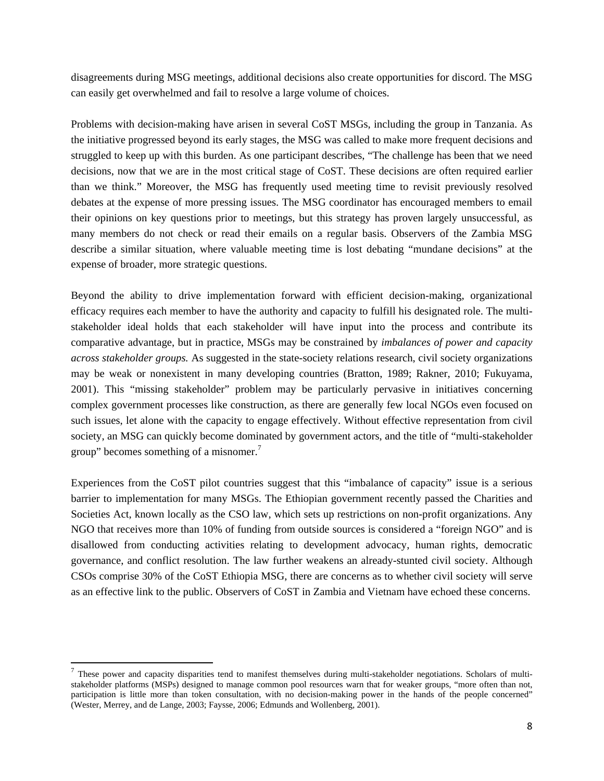disagreements during MSG meetings, additional decisions also create opportunities for discord. The MSG can easily get overwhelmed and fail to resolve a large volume of choices.

Problems with decision-making have arisen in several CoST MSGs, including the group in Tanzania. As the initiative progressed beyond its early stages, the MSG was called to make more frequent decisions and struggled to keep up with this burden. As one participant describes, "The challenge has been that we need decisions, now that we are in the most critical stage of CoST. These decisions are often required earlier than we think." Moreover, the MSG has frequently used meeting time to revisit previously resolved debates at the expense of more pressing issues. The MSG coordinator has encouraged members to email their opinions on key questions prior to meetings, but this strategy has proven largely unsuccessful, as many members do not check or read their emails on a regular basis. Observers of the Zambia MSG describe a similar situation, where valuable meeting time is lost debating "mundane decisions" at the expense of broader, more strategic questions.

Beyond the ability to drive implementation forward with efficient decision-making, organizational efficacy requires each member to have the authority and capacity to fulfill his designated role. The multistakeholder ideal holds that each stakeholder will have input into the process and contribute its comparative advantage, but in practice, MSGs may be constrained by *imbalances of power and capacity across stakeholder groups.* As suggested in the state-society relations research, civil society organizations may be weak or nonexistent in many developing countries (Bratton, 1989; Rakner, 2010; Fukuyama, 2001). This "missing stakeholder" problem may be particularly pervasive in initiatives concerning complex government processes like construction, as there are generally few local NGOs even focused on such issues, let alone with the capacity to engage effectively. Without effective representation from civil society, an MSG can quickly become dominated by government actors, and the title of "multi-stakeholder group" becomes something of a misnomer.<sup>7</sup>

Experiences from the CoST pilot countries suggest that this "imbalance of capacity" issue is a serious barrier to implementation for many MSGs. The Ethiopian government recently passed the Charities and Societies Act, known locally as the CSO law, which sets up restrictions on non-profit organizations. Any NGO that receives more than 10% of funding from outside sources is considered a "foreign NGO" and is disallowed from conducting activities relating to development advocacy, human rights, democratic governance, and conflict resolution. The law further weakens an already-stunted civil society. Although CSOs comprise 30% of the CoST Ethiopia MSG, there are concerns as to whether civil society will serve as an effective link to the public. Observers of CoST in Zambia and Vietnam have echoed these concerns.

 $<sup>7</sup>$  These power and capacity disparities tend to manifest themselves during multi-stakeholder negotiations. Scholars of multi-</sup> stakeholder platforms (MSPs) designed to manage common pool resources warn that for weaker groups, "more often than not, participation is little more than token consultation, with no decision-making power in the hands of the people concerned" (Wester, Merrey, and de Lange, 2003; Faysse, 2006; Edmunds and Wollenberg, 2001).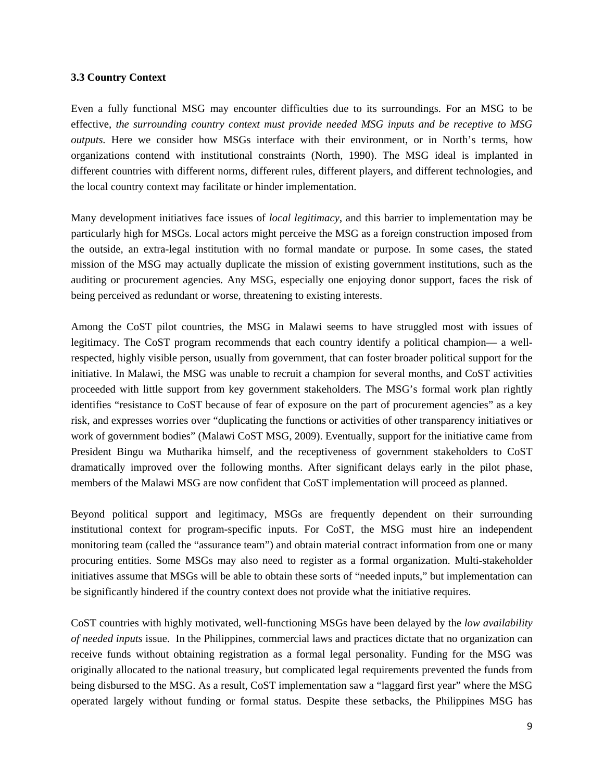#### **3.3 Country Context**

Even a fully functional MSG may encounter difficulties due to its surroundings. For an MSG to be effective, *the surrounding country context must provide needed MSG inputs and be receptive to MSG outputs.* Here we consider how MSGs interface with their environment, or in North's terms, how organizations contend with institutional constraints (North, 1990). The MSG ideal is implanted in different countries with different norms, different rules, different players, and different technologies, and the local country context may facilitate or hinder implementation.

Many development initiatives face issues of *local legitimacy*, and this barrier to implementation may be particularly high for MSGs. Local actors might perceive the MSG as a foreign construction imposed from the outside, an extra-legal institution with no formal mandate or purpose. In some cases, the stated mission of the MSG may actually duplicate the mission of existing government institutions, such as the auditing or procurement agencies. Any MSG, especially one enjoying donor support, faces the risk of being perceived as redundant or worse, threatening to existing interests.

Among the CoST pilot countries, the MSG in Malawi seems to have struggled most with issues of legitimacy. The CoST program recommends that each country identify a political champion— a wellrespected, highly visible person, usually from government, that can foster broader political support for the initiative. In Malawi, the MSG was unable to recruit a champion for several months, and CoST activities proceeded with little support from key government stakeholders. The MSG's formal work plan rightly identifies "resistance to CoST because of fear of exposure on the part of procurement agencies" as a key risk, and expresses worries over "duplicating the functions or activities of other transparency initiatives or work of government bodies" (Malawi CoST MSG, 2009). Eventually, support for the initiative came from President Bingu wa Mutharika himself, and the receptiveness of government stakeholders to CoST dramatically improved over the following months. After significant delays early in the pilot phase, members of the Malawi MSG are now confident that CoST implementation will proceed as planned.

Beyond political support and legitimacy, MSGs are frequently dependent on their surrounding institutional context for program-specific inputs. For CoST, the MSG must hire an independent monitoring team (called the "assurance team") and obtain material contract information from one or many procuring entities. Some MSGs may also need to register as a formal organization. Multi-stakeholder initiatives assume that MSGs will be able to obtain these sorts of "needed inputs," but implementation can be significantly hindered if the country context does not provide what the initiative requires.

CoST countries with highly motivated, well-functioning MSGs have been delayed by the *low availability of needed inputs* issue. In the Philippines, commercial laws and practices dictate that no organization can receive funds without obtaining registration as a formal legal personality. Funding for the MSG was originally allocated to the national treasury, but complicated legal requirements prevented the funds from being disbursed to the MSG. As a result, CoST implementation saw a "laggard first year" where the MSG operated largely without funding or formal status. Despite these setbacks, the Philippines MSG has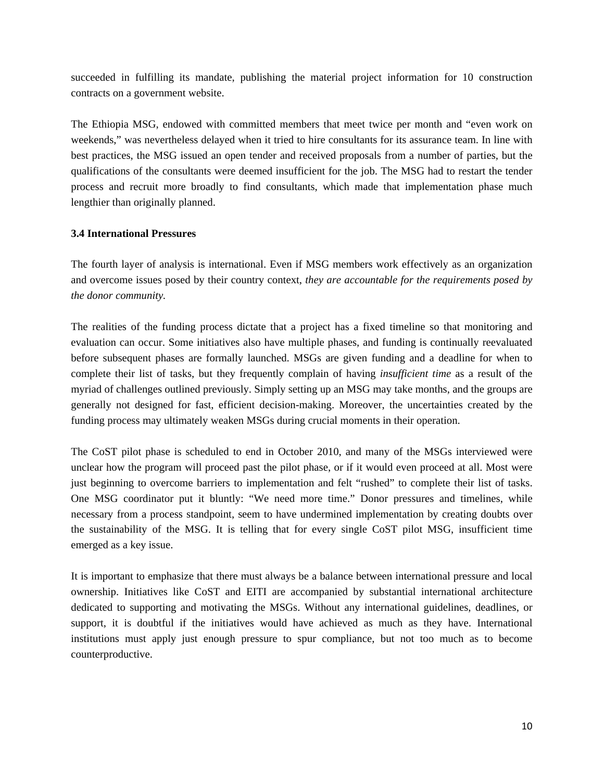succeeded in fulfilling its mandate, publishing the material project information for 10 construction contracts on a government website.

The Ethiopia MSG, endowed with committed members that meet twice per month and "even work on weekends," was nevertheless delayed when it tried to hire consultants for its assurance team. In line with best practices, the MSG issued an open tender and received proposals from a number of parties, but the qualifications of the consultants were deemed insufficient for the job. The MSG had to restart the tender process and recruit more broadly to find consultants, which made that implementation phase much lengthier than originally planned.

#### **3.4 International Pressures**

The fourth layer of analysis is international. Even if MSG members work effectively as an organization and overcome issues posed by their country context, *they are accountable for the requirements posed by the donor community.* 

The realities of the funding process dictate that a project has a fixed timeline so that monitoring and evaluation can occur. Some initiatives also have multiple phases, and funding is continually reevaluated before subsequent phases are formally launched. MSGs are given funding and a deadline for when to complete their list of tasks, but they frequently complain of having *insufficient time* as a result of the myriad of challenges outlined previously. Simply setting up an MSG may take months, and the groups are generally not designed for fast, efficient decision-making. Moreover, the uncertainties created by the funding process may ultimately weaken MSGs during crucial moments in their operation.

The CoST pilot phase is scheduled to end in October 2010, and many of the MSGs interviewed were unclear how the program will proceed past the pilot phase, or if it would even proceed at all. Most were just beginning to overcome barriers to implementation and felt "rushed" to complete their list of tasks. One MSG coordinator put it bluntly: "We need more time." Donor pressures and timelines, while necessary from a process standpoint, seem to have undermined implementation by creating doubts over the sustainability of the MSG. It is telling that for every single CoST pilot MSG, insufficient time emerged as a key issue.

It is important to emphasize that there must always be a balance between international pressure and local ownership. Initiatives like CoST and EITI are accompanied by substantial international architecture dedicated to supporting and motivating the MSGs. Without any international guidelines, deadlines, or support, it is doubtful if the initiatives would have achieved as much as they have. International institutions must apply just enough pressure to spur compliance, but not too much as to become counterproductive.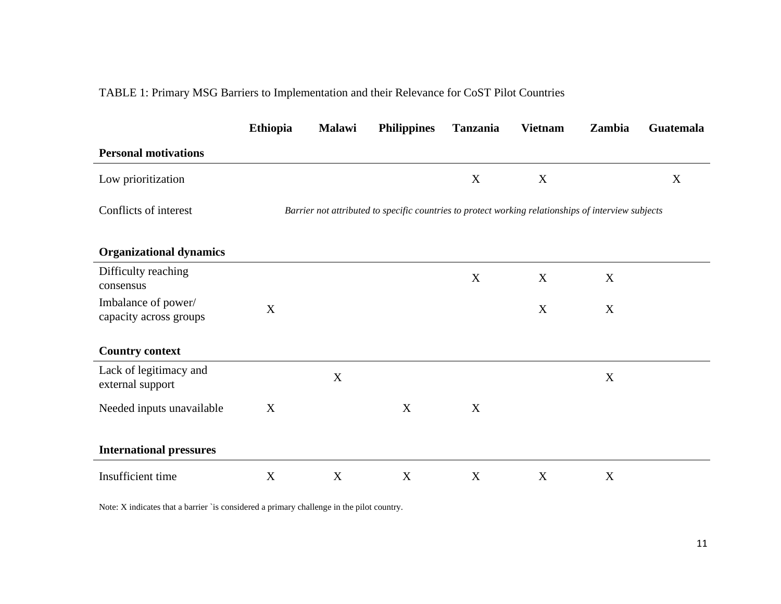TABLE 1: Primary MSG Barriers to Implementation and their Relevance for CoST Pilot Countries

|                                               | Ethiopia | Malawi | <b>Philippines</b>                                                                                  | Tanzania | <b>Vietnam</b> | Zambia | Guatemala |
|-----------------------------------------------|----------|--------|-----------------------------------------------------------------------------------------------------|----------|----------------|--------|-----------|
| <b>Personal motivations</b>                   |          |        |                                                                                                     |          |                |        |           |
| Low prioritization                            |          |        |                                                                                                     | X        | X              |        | X         |
| Conflicts of interest                         |          |        | Barrier not attributed to specific countries to protect working relationships of interview subjects |          |                |        |           |
| <b>Organizational dynamics</b>                |          |        |                                                                                                     |          |                |        |           |
| Difficulty reaching<br>consensus              |          |        |                                                                                                     | X        | X              | X      |           |
| Imbalance of power/<br>capacity across groups | X        |        |                                                                                                     |          | X              | X      |           |
| <b>Country context</b>                        |          |        |                                                                                                     |          |                |        |           |
| Lack of legitimacy and<br>external support    |          | X      |                                                                                                     |          |                | X      |           |
| Needed inputs unavailable                     | X        |        | X                                                                                                   | X        |                |        |           |
| <b>International pressures</b>                |          |        |                                                                                                     |          |                |        |           |
| Insufficient time                             | X        | X      | X                                                                                                   | X        | X              | X      |           |

Note: X indicates that a barrier `is considered a primary challenge in the pilot country.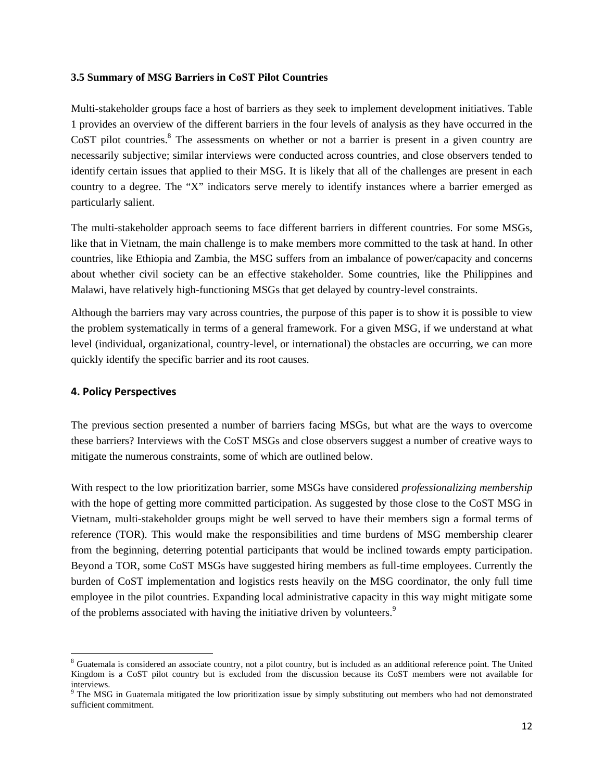#### **3.5 Summary of MSG Barriers in CoST Pilot Countries**

Multi-stakeholder groups face a host of barriers as they seek to implement development initiatives. Table 1 provides an overview of the different barriers in the four levels of analysis as they have occurred in the  $CoST$  pilot countries.<sup>8</sup> The assessments on whether or not a barrier is present in a given country are necessarily subjective; similar interviews were conducted across countries, and close observers tended to identify certain issues that applied to their MSG. It is likely that all of the challenges are present in each country to a degree. The "X" indicators serve merely to identify instances where a barrier emerged as particularly salient.

The multi-stakeholder approach seems to face different barriers in different countries. For some MSGs, like that in Vietnam, the main challenge is to make members more committed to the task at hand. In other countries, like Ethiopia and Zambia, the MSG suffers from an imbalance of power/capacity and concerns about whether civil society can be an effective stakeholder. Some countries, like the Philippines and Malawi, have relatively high-functioning MSGs that get delayed by country-level constraints.

Although the barriers may vary across countries, the purpose of this paper is to show it is possible to view the problem systematically in terms of a general framework. For a given MSG, if we understand at what level (individual, organizational, country-level, or international) the obstacles are occurring, we can more quickly identify the specific barrier and its root causes.

#### **4. Policy Perspectives**

The previous section presented a number of barriers facing MSGs, but what are the ways to overcome these barriers? Interviews with the CoST MSGs and close observers suggest a number of creative ways to mitigate the numerous constraints, some of which are outlined below.

With respect to the low prioritization barrier, some MSGs have considered *professionalizing membership* with the hope of getting more committed participation. As suggested by those close to the CoST MSG in Vietnam, multi-stakeholder groups might be well served to have their members sign a formal terms of reference (TOR). This would make the responsibilities and time burdens of MSG membership clearer from the beginning, deterring potential participants that would be inclined towards empty participation. Beyond a TOR, some CoST MSGs have suggested hiring members as full-time employees. Currently the burden of CoST implementation and logistics rests heavily on the MSG coordinator, the only full time employee in the pilot countries. Expanding local administrative capacity in this way might mitigate some of the problems associated with having the initiative driven by volunteers.<sup>9</sup>

<sup>&</sup>lt;sup>8</sup> Guatemala is considered an associate country, not a pilot country, but is included as an additional reference point. The United Kingdom is a CoST pilot country but is excluded from the discussion because its CoST members were not available for interviews.

<sup>&</sup>lt;sup>9</sup> The MSG in Guatemala mitigated the low prioritization issue by simply substituting out members who had not demonstrated sufficient commitment.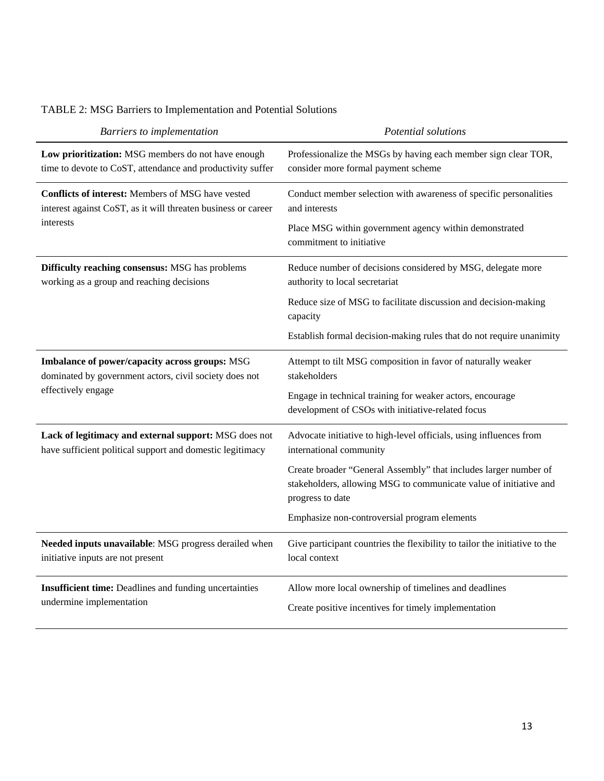## TABLE 2: MSG Barriers to Implementation and Potential Solutions

| Barriers to implementation                                    | Potential solutions                                                                                                                                       |  |  |  |  |
|---------------------------------------------------------------|-----------------------------------------------------------------------------------------------------------------------------------------------------------|--|--|--|--|
| Low prioritization: MSG members do not have enough            | Professionalize the MSGs by having each member sign clear TOR,                                                                                            |  |  |  |  |
| time to devote to CoST, attendance and productivity suffer    | consider more formal payment scheme                                                                                                                       |  |  |  |  |
| Conflicts of interest: Members of MSG have vested             | Conduct member selection with awareness of specific personalities                                                                                         |  |  |  |  |
| interest against CoST, as it will threaten business or career | and interests                                                                                                                                             |  |  |  |  |
| interests                                                     | Place MSG within government agency within demonstrated                                                                                                    |  |  |  |  |
|                                                               | commitment to initiative                                                                                                                                  |  |  |  |  |
| Difficulty reaching consensus: MSG has problems               | Reduce number of decisions considered by MSG, delegate more                                                                                               |  |  |  |  |
| working as a group and reaching decisions                     | authority to local secretariat                                                                                                                            |  |  |  |  |
|                                                               | Reduce size of MSG to facilitate discussion and decision-making<br>capacity                                                                               |  |  |  |  |
|                                                               | Establish formal decision-making rules that do not require unanimity                                                                                      |  |  |  |  |
| Imbalance of power/capacity across groups: MSG                | Attempt to tilt MSG composition in favor of naturally weaker                                                                                              |  |  |  |  |
| dominated by government actors, civil society does not        | stakeholders                                                                                                                                              |  |  |  |  |
| effectively engage                                            | Engage in technical training for weaker actors, encourage<br>development of CSOs with initiative-related focus                                            |  |  |  |  |
| Lack of legitimacy and external support: MSG does not         | Advocate initiative to high-level officials, using influences from                                                                                        |  |  |  |  |
| have sufficient political support and domestic legitimacy     | international community                                                                                                                                   |  |  |  |  |
|                                                               | Create broader "General Assembly" that includes larger number of<br>stakeholders, allowing MSG to communicate value of initiative and<br>progress to date |  |  |  |  |
|                                                               | Emphasize non-controversial program elements                                                                                                              |  |  |  |  |
| Needed inputs unavailable: MSG progress derailed when         | Give participant countries the flexibility to tailor the initiative to the                                                                                |  |  |  |  |
| initiative inputs are not present                             | local context                                                                                                                                             |  |  |  |  |
| Insufficient time: Deadlines and funding uncertainties        | Allow more local ownership of timelines and deadlines                                                                                                     |  |  |  |  |
| undermine implementation                                      | Create positive incentives for timely implementation                                                                                                      |  |  |  |  |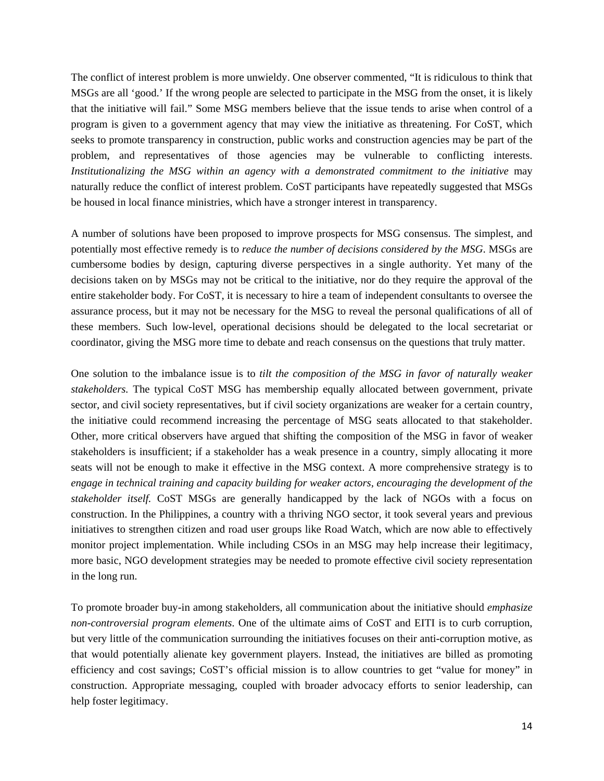The conflict of interest problem is more unwieldy. One observer commented, "It is ridiculous to think that MSGs are all 'good.' If the wrong people are selected to participate in the MSG from the onset, it is likely that the initiative will fail." Some MSG members believe that the issue tends to arise when control of a program is given to a government agency that may view the initiative as threatening. For CoST, which seeks to promote transparency in construction, public works and construction agencies may be part of the problem, and representatives of those agencies may be vulnerable to conflicting interests. Institutionalizing the MSG within an agency with a demonstrated commitment to the initiative may naturally reduce the conflict of interest problem. CoST participants have repeatedly suggested that MSGs be housed in local finance ministries, which have a stronger interest in transparency.

A number of solutions have been proposed to improve prospects for MSG consensus. The simplest, and potentially most effective remedy is to *reduce the number of decisions considered by the MSG*. MSGs are cumbersome bodies by design, capturing diverse perspectives in a single authority. Yet many of the decisions taken on by MSGs may not be critical to the initiative, nor do they require the approval of the entire stakeholder body. For CoST, it is necessary to hire a team of independent consultants to oversee the assurance process, but it may not be necessary for the MSG to reveal the personal qualifications of all of these members. Such low-level, operational decisions should be delegated to the local secretariat or coordinator, giving the MSG more time to debate and reach consensus on the questions that truly matter.

One solution to the imbalance issue is to *tilt the composition of the MSG in favor of naturally weaker stakeholders.* The typical CoST MSG has membership equally allocated between government, private sector, and civil society representatives, but if civil society organizations are weaker for a certain country, the initiative could recommend increasing the percentage of MSG seats allocated to that stakeholder. Other, more critical observers have argued that shifting the composition of the MSG in favor of weaker stakeholders is insufficient; if a stakeholder has a weak presence in a country, simply allocating it more seats will not be enough to make it effective in the MSG context. A more comprehensive strategy is to *engage in technical training and capacity building for weaker actors, encouraging the development of the stakeholder itself.* CoST MSGs are generally handicapped by the lack of NGOs with a focus on construction. In the Philippines, a country with a thriving NGO sector, it took several years and previous initiatives to strengthen citizen and road user groups like Road Watch, which are now able to effectively monitor project implementation. While including CSOs in an MSG may help increase their legitimacy, more basic, NGO development strategies may be needed to promote effective civil society representation in the long run.

To promote broader buy-in among stakeholders, all communication about the initiative should *emphasize non-controversial program elements*. One of the ultimate aims of CoST and EITI is to curb corruption, but very little of the communication surrounding the initiatives focuses on their anti-corruption motive, as that would potentially alienate key government players. Instead, the initiatives are billed as promoting efficiency and cost savings; CoST's official mission is to allow countries to get "value for money" in construction. Appropriate messaging, coupled with broader advocacy efforts to senior leadership, can help foster legitimacy.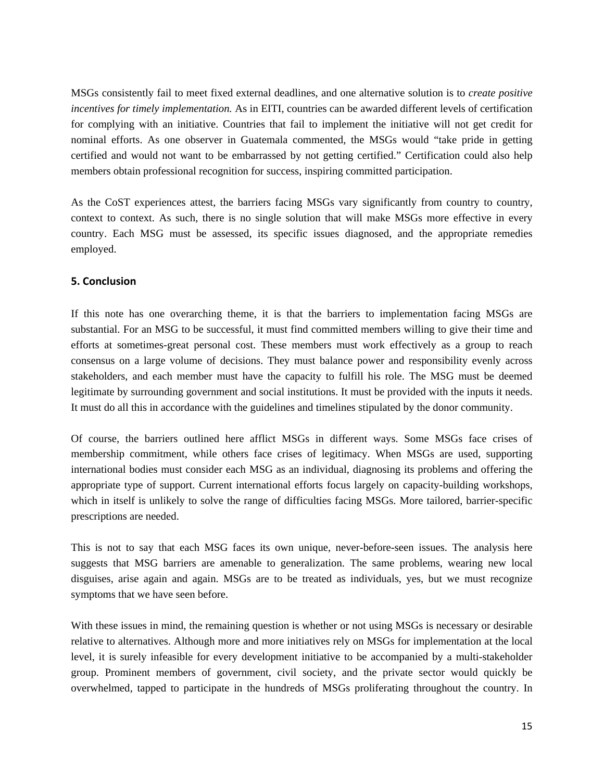MSGs consistently fail to meet fixed external deadlines, and one alternative solution is to *create positive incentives for timely implementation.* As in EITI, countries can be awarded different levels of certification for complying with an initiative. Countries that fail to implement the initiative will not get credit for nominal efforts. As one observer in Guatemala commented, the MSGs would "take pride in getting certified and would not want to be embarrassed by not getting certified." Certification could also help members obtain professional recognition for success, inspiring committed participation.

As the CoST experiences attest, the barriers facing MSGs vary significantly from country to country, context to context. As such, there is no single solution that will make MSGs more effective in every country. Each MSG must be assessed, its specific issues diagnosed, and the appropriate remedies employed.

#### **5. Conclusion**

If this note has one overarching theme, it is that the barriers to implementation facing MSGs are substantial. For an MSG to be successful, it must find committed members willing to give their time and efforts at sometimes-great personal cost. These members must work effectively as a group to reach consensus on a large volume of decisions. They must balance power and responsibility evenly across stakeholders, and each member must have the capacity to fulfill his role. The MSG must be deemed legitimate by surrounding government and social institutions. It must be provided with the inputs it needs. It must do all this in accordance with the guidelines and timelines stipulated by the donor community.

Of course, the barriers outlined here afflict MSGs in different ways. Some MSGs face crises of membership commitment, while others face crises of legitimacy. When MSGs are used, supporting international bodies must consider each MSG as an individual, diagnosing its problems and offering the appropriate type of support. Current international efforts focus largely on capacity-building workshops, which in itself is unlikely to solve the range of difficulties facing MSGs. More tailored, barrier-specific prescriptions are needed.

This is not to say that each MSG faces its own unique, never-before-seen issues. The analysis here suggests that MSG barriers are amenable to generalization. The same problems, wearing new local disguises, arise again and again. MSGs are to be treated as individuals, yes, but we must recognize symptoms that we have seen before.

With these issues in mind, the remaining question is whether or not using MSGs is necessary or desirable relative to alternatives. Although more and more initiatives rely on MSGs for implementation at the local level, it is surely infeasible for every development initiative to be accompanied by a multi-stakeholder group. Prominent members of government, civil society, and the private sector would quickly be overwhelmed, tapped to participate in the hundreds of MSGs proliferating throughout the country. In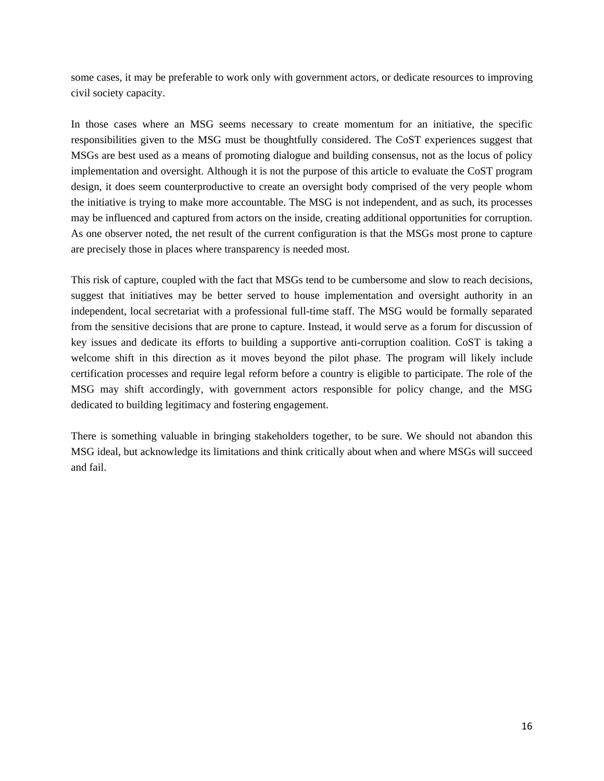some cases, it may be preferable to work only with government actors, or dedicate resources to improving civil society capacity.

In those cases where an MSG seems necessary to create momentum for an initiative, the specific responsibilities given to the MSG must be thoughtfully considered. The CoST experiences suggest that MSGs are best used as a means of promoting dialogue and building consensus, not as the locus of policy implementation and oversight. Although it is not the purpose of this article to evaluate the CoST program design, it does seem counterproductive to create an oversight body comprised of the very people whom the initiative is trying to make more accountable. The MSG is not independent, and as such, its processes may be influenced and captured from actors on the inside, creating additional opportunities for corruption. As one observer noted, the net result of the current configuration is that the MSGs most prone to capture are precisely those in places where transparency is needed most.

This risk of capture, coupled with the fact that MSGs tend to be cumbersome and slow to reach decisions, suggest that initiatives may be better served to house implementation and oversight authority in an independent, local secretariat with a professional full-time staff. The MSG would be formally separated from the sensitive decisions that are prone to capture. Instead, it would serve as a forum for discussion of key issues and dedicate its efforts to building a supportive anti-corruption coalition. CoST is taking a welcome shift in this direction as it moves beyond the pilot phase. The program will likely include certification processes and require legal reform before a country is eligible to participate. The role of the MSG may shift accordingly, with government actors responsible for policy change, and the MSG dedicated to building legitimacy and fostering engagement.

There is something valuable in bringing stakeholders together, to be sure. We should not abandon this MSG ideal, but acknowledge its limitations and think critically about when and where MSGs will succeed and fail.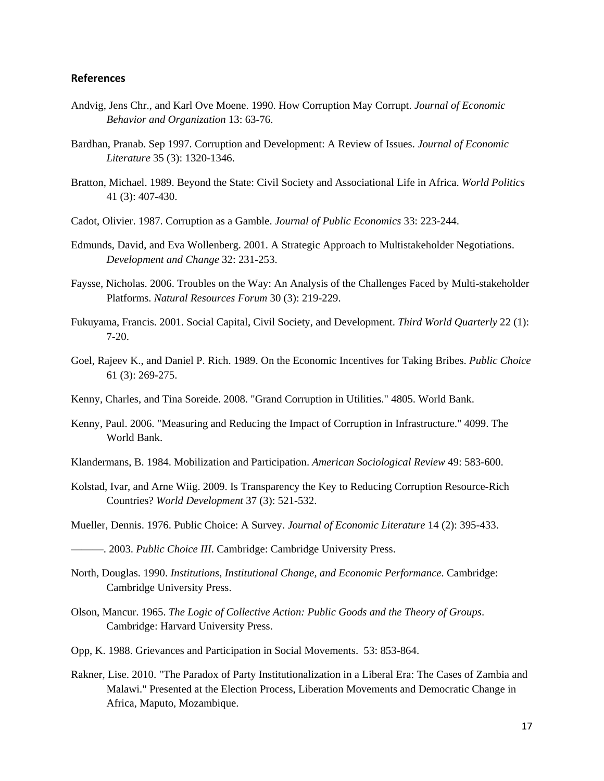#### **References**

- Andvig, Jens Chr., and Karl Ove Moene. 1990. How Corruption May Corrupt. *Journal of Economic Behavior and Organization* 13: 63-76.
- Bardhan, Pranab. Sep 1997. Corruption and Development: A Review of Issues. *Journal of Economic Literature* 35 (3): 1320-1346.
- Bratton, Michael. 1989. Beyond the State: Civil Society and Associational Life in Africa. *World Politics* 41 (3): 407-430.
- Cadot, Olivier. 1987. Corruption as a Gamble. *Journal of Public Economics* 33: 223-244.
- Edmunds, David, and Eva Wollenberg. 2001. A Strategic Approach to Multistakeholder Negotiations. *Development and Change* 32: 231-253.
- Faysse, Nicholas. 2006. Troubles on the Way: An Analysis of the Challenges Faced by Multi-stakeholder Platforms. *Natural Resources Forum* 30 (3): 219-229.
- Fukuyama, Francis. 2001. Social Capital, Civil Society, and Development. *Third World Quarterly* 22 (1): 7-20.
- Goel, Rajeev K., and Daniel P. Rich. 1989. On the Economic Incentives for Taking Bribes. *Public Choice* 61 (3): 269-275.
- Kenny, Charles, and Tina Soreide. 2008. "Grand Corruption in Utilities." 4805. World Bank.
- Kenny, Paul. 2006. "Measuring and Reducing the Impact of Corruption in Infrastructure." 4099. The World Bank.
- Klandermans, B. 1984. Mobilization and Participation. *American Sociological Review* 49: 583-600.
- Kolstad, Ivar, and Arne Wiig. 2009. Is Transparency the Key to Reducing Corruption Resource-Rich Countries? *World Development* 37 (3): 521-532.
- Mueller, Dennis. 1976. Public Choice: A Survey. *Journal of Economic Literature* 14 (2): 395-433.
- ———. 2003. *Public Choice III*. Cambridge: Cambridge University Press.
- North, Douglas. 1990. *Institutions, Institutional Change, and Economic Performance*. Cambridge: Cambridge University Press.
- Olson, Mancur. 1965. *The Logic of Collective Action: Public Goods and the Theory of Groups*. Cambridge: Harvard University Press.
- Opp, K. 1988. Grievances and Participation in Social Movements. 53: 853-864.
- Rakner, Lise. 2010. "The Paradox of Party Institutionalization in a Liberal Era: The Cases of Zambia and Malawi." Presented at the Election Process, Liberation Movements and Democratic Change in Africa, Maputo, Mozambique.